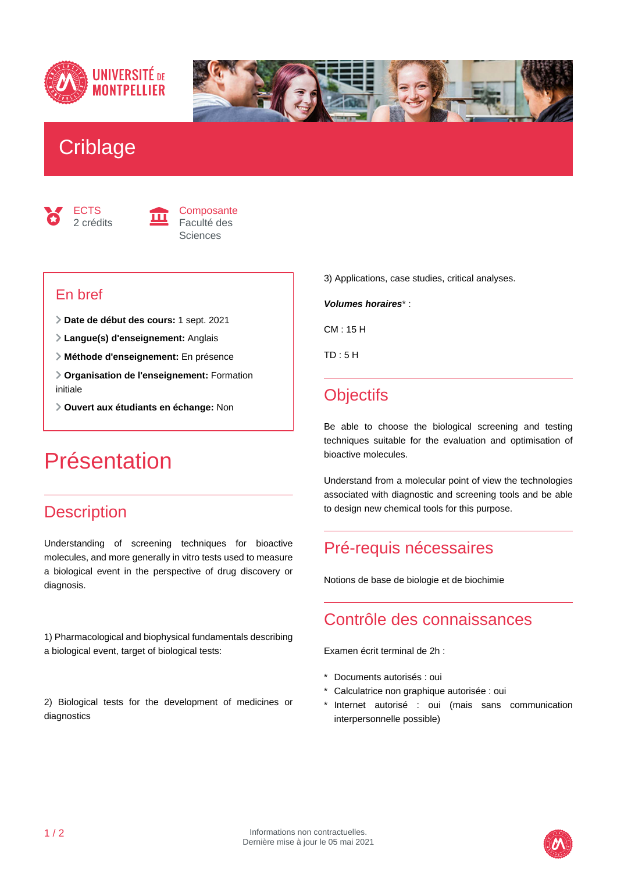



## **Criblage**





#### En bref

- **Date de début des cours:** 1 sept. 2021
- **Langue(s) d'enseignement:** Anglais
- **Méthode d'enseignement:** En présence
- **Organisation de l'enseignement:** Formation initiale
- **Ouvert aux étudiants en échange:** Non

## Présentation

## **Description**

Understanding of screening techniques for bioactive molecules, and more generally in vitro tests used to measure a biological event in the perspective of drug discovery or diagnosis.

1) Pharmacological and biophysical fundamentals describing a biological event, target of biological tests:

2) Biological tests for the development of medicines or diagnostics

3) Applications, case studies, critical analyses.

**Volumes horaires**\* :

CM : 15 H

TD : 5 H

## **Objectifs**

Be able to choose the biological screening and testing techniques suitable for the evaluation and optimisation of bioactive molecules.

Understand from a molecular point of view the technologies associated with diagnostic and screening tools and be able to design new chemical tools for this purpose.

## Pré-requis nécessaires

Notions de base de biologie et de biochimie

#### Contrôle des connaissances

Examen écrit terminal de 2h :

- \* Documents autorisés : oui
- \* Calculatrice non graphique autorisée : oui
- Internet autorisé : oui (mais sans communication interpersonnelle possible)